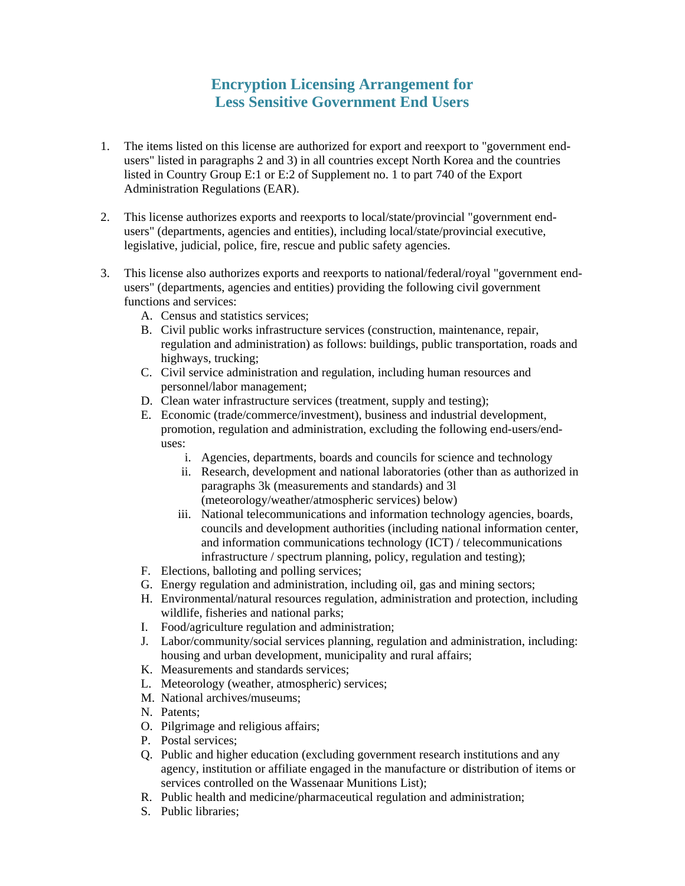## **Encryption Licensing Arrangement for Less Sensitive Government End Users**

- 1. The items listed on this license are authorized for export and reexport to "government endusers" listed in paragraphs 2 and 3) in all countries except North Korea and the countries listed in Country Group E:1 or E:2 of Supplement no. 1 to part 740 of the Export Administration Regulations (EAR).
- 2. This license authorizes exports and reexports to local/state/provincial "government endusers" (departments, agencies and entities), including local/state/provincial executive, legislative, judicial, police, fire, rescue and public safety agencies.
- 3. This license also authorizes exports and reexports to national/federal/royal "government endusers" (departments, agencies and entities) providing the following civil government functions and services:
	- A. Census and statistics services;
	- B. Civil public works infrastructure services (construction, maintenance, repair, regulation and administration) as follows: buildings, public transportation, roads and highways, trucking;
	- C. Civil service administration and regulation, including human resources and personnel/labor management;
	- D. Clean water infrastructure services (treatment, supply and testing);
	- E. Economic (trade/commerce/investment), business and industrial development, promotion, regulation and administration, excluding the following end-users/enduses:
		- i. Agencies, departments, boards and councils for science and technology
		- ii. Research, development and national laboratories (other than as authorized in paragraphs 3k (measurements and standards) and 3l (meteorology/weather/atmospheric services) below)
		- iii. National telecommunications and information technology agencies, boards, councils and development authorities (including national information center, and information communications technology (ICT) / telecommunications infrastructure / spectrum planning, policy, regulation and testing);
	- F. Elections, balloting and polling services;
	- G. Energy regulation and administration, including oil, gas and mining sectors;
	- H. Environmental/natural resources regulation, administration and protection, including wildlife, fisheries and national parks;
	- I. Food/agriculture regulation and administration;
	- J. Labor/community/social services planning, regulation and administration, including: housing and urban development, municipality and rural affairs;
	- K. Measurements and standards services;
	- L. Meteorology (weather, atmospheric) services;
	- M. National archives/museums;
	- N. Patents;
	- O. Pilgrimage and religious affairs;
	- P. Postal services;
	- Q. Public and higher education (excluding government research institutions and any agency, institution or affiliate engaged in the manufacture or distribution of items or services controlled on the Wassenaar Munitions List);
	- R. Public health and medicine/pharmaceutical regulation and administration;
	- S. Public libraries;